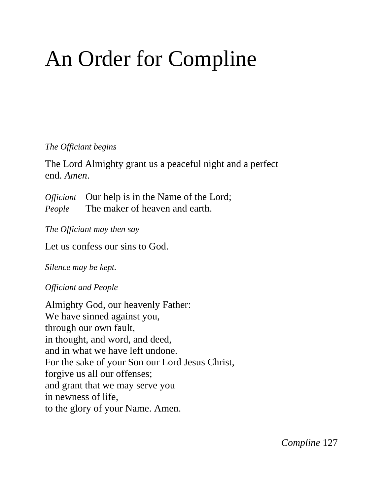# An Order for Compline

#### *The Officiant begins*

The Lord Almighty grant us a peaceful night and a perfect end. *Amen*.

*Officiant* Our help is in the Name of the Lord; *People* The maker of heaven and earth.

*The Officiant may then say*

Let us confess our sins to God.

*Silence may be kept.*

*Officiant and People*

Almighty God, our heavenly Father: We have sinned against you, through our own fault, in thought, and word, and deed, and in what we have left undone. For the sake of your Son our Lord Jesus Christ, forgive us all our offenses; and grant that we may serve you in newness of life, to the glory of your Name. Amen.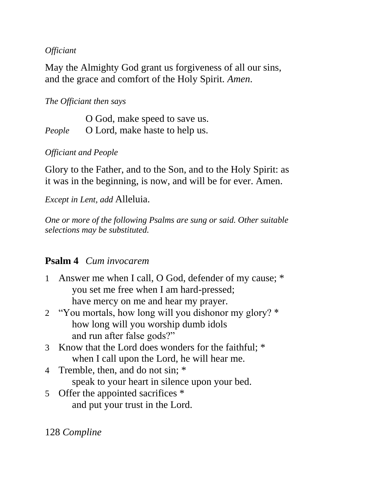#### *Officiant*

May the Almighty God grant us forgiveness of all our sins, and the grace and comfort of the Holy Spirit. *Amen*.

## *The Officiant then says*

O God, make speed to save us. *People* O Lord, make haste to help us.

## *Officiant and People*

Glory to the Father, and to the Son, and to the Holy Spirit: as it was in the beginning, is now, and will be for ever. Amen.

*Except in Lent, add* Alleluia.

*One or more of the following Psalms are sung or said. Other suitable selections may be substituted.*

# **Psalm 4** *Cum invocarem*

- 1 Answer me when I call, O God, defender of my cause; \* you set me free when I am hard-pressed; have mercy on me and hear my prayer.
- 2 "You mortals, how long will you dishonor my glory? \* how long will you worship dumb idols and run after false gods?"
- 3 Know that the Lord does wonders for the faithful; \* when I call upon the Lord, he will hear me.
- 4 Tremble, then, and do not sin; \* speak to your heart in silence upon your bed.
- 5 Offer the appointed sacrifices \* and put your trust in the Lord.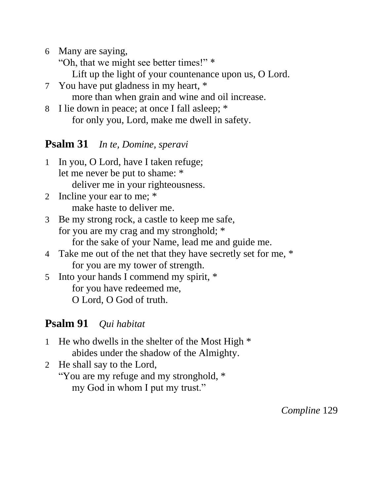6 Many are saying,

"Oh, that we might see better times!" \*

Lift up the light of your countenance upon us, O Lord.

- 7 You have put gladness in my heart, \* more than when grain and wine and oil increase.
- 8 I lie down in peace; at once I fall asleep; \* for only you, Lord, make me dwell in safety.

# **Psalm 31** *In te, Domine, speravi*

- 1 In you, O Lord, have I taken refuge; let me never be put to shame: \* deliver me in your righteousness.
- 2 Incline your ear to me; \* make haste to deliver me.
- 3 Be my strong rock, a castle to keep me safe, for you are my crag and my stronghold; \* for the sake of your Name, lead me and guide me.
- 4 Take me out of the net that they have secretly set for me, \* for you are my tower of strength.
- 5 Into your hands I commend my spirit, \* for you have redeemed me, O Lord, O God of truth.

# **Psalm 91** *Qui habitat*

- 1 He who dwells in the shelter of the Most High \* abides under the shadow of the Almighty.
- 2 He shall say to the Lord, "You are my refuge and my stronghold, \* my God in whom I put my trust."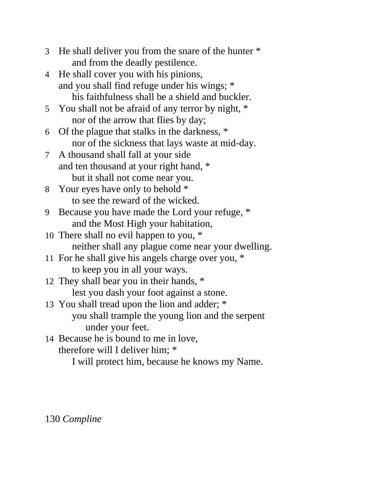- 3 He shall deliver you from the snare of the hunter \* and from the deadly pestilence.
- 4 He shall cover you with his pinions, and you shall find refuge under his wings; \* his faithfulness shall be a shield and buckler.
- 5 You shall not be afraid of any terror by night, \* nor of the arrow that flies by day;
- 6 Of the plague that stalks in the darkness, \* nor of the sickness that lays waste at mid-day.
- 7 A thousand shall fall at your side and ten thousand at your right hand, \* but it shall not come near you.
- 8 Your eyes have only to behold \* to see the reward of the wicked.
- 9 Because you have made the Lord your refuge, \* and the Most High your habitation,
- 10 There shall no evil happen to you, \* neither shall any plague come near your dwelling.
- 11 For he shall give his angels charge over you, \* to keep you in all your ways.
- 12 They shall bear you in their hands, \* lest you dash your foot against a stone.
- 13 You shall tread upon the lion and adder; \* you shall trample the young lion and the serpent under your feet.
- 14 Because he is bound to me in love, therefore will I deliver him; \*
	- I will protect him, because he knows my Name.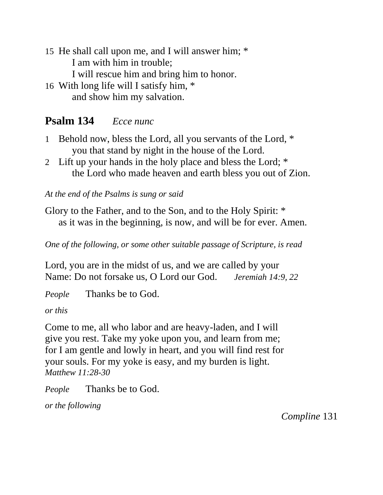- 15 He shall call upon me, and I will answer him; \* I am with him in trouble; I will rescue him and bring him to honor.
- 16 With long life will I satisfy him, \* and show him my salvation.

# **Psalm 134** *Ecce nunc*

- 1 Behold now, bless the Lord, all you servants of the Lord, \* you that stand by night in the house of the Lord.
- 2 Lift up your hands in the holy place and bless the Lord; \* the Lord who made heaven and earth bless you out of Zion.

*At the end of the Psalms is sung or said*

Glory to the Father, and to the Son, and to the Holy Spirit: \* as it was in the beginning, is now, and will be for ever. Amen.

*One of the following, or some other suitable passage of Scripture, is read*

Lord, you are in the midst of us, and we are called by your Name: Do not forsake us, O Lord our God. *Jeremiah 14:9, 22*

*People* Thanks be to God.

*or this*

Come to me, all who labor and are heavy-laden, and I will give you rest. Take my yoke upon you, and learn from me; for I am gentle and lowly in heart, and you will find rest for your souls. For my yoke is easy, and my burden is light. *Matthew 11:28-30*

*People* Thanks be to God.

*or the following*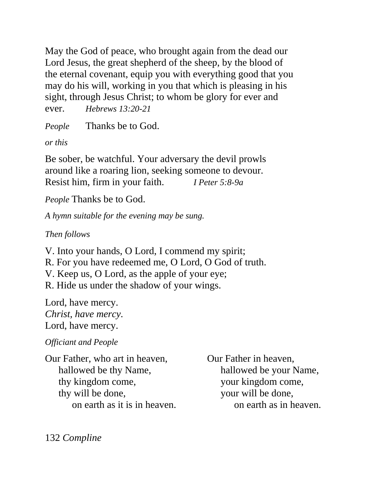May the God of peace, who brought again from the dead our Lord Jesus, the great shepherd of the sheep, by the blood of the eternal covenant, equip you with everything good that you may do his will, working in you that which is pleasing in his sight, through Jesus Christ; to whom be glory for ever and ever. *Hebrews 13:20-21*

*People* Thanks be to God.

*or this*

Be sober, be watchful. Your adversary the devil prowls around like a roaring lion, seeking someone to devour. Resist him, firm in your faith. *I Peter 5:8-9a*

*People* Thanks be to God.

*A hymn suitable for the evening may be sung.*

*Then follows*

V. Into your hands, O Lord, I commend my spirit; R. For you have redeemed me, O Lord, O God of truth. V. Keep us, O Lord, as the apple of your eye; R. Hide us under the shadow of your wings.

Lord, have mercy. *Christ, have mercy.* Lord, have mercy.

*Officiant and People*

Our Father, who art in heaven, Our Father in heaven, hallowed be thy Name, hallowed be your Name, thy kingdom come, your kingdom come, thy will be done, your will be done,

on earth as it is in heaven. on earth as in heaven.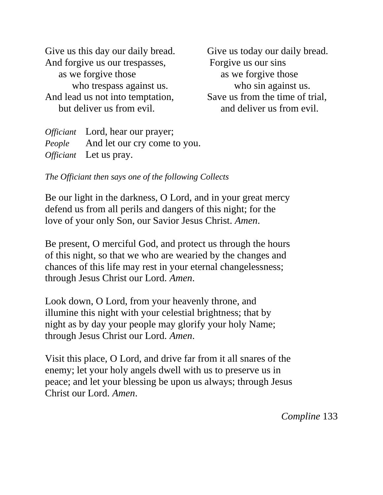Give us this day our daily bread. Give us today our daily bread. And forgive us our trespasses, Forgive us our sins as we forgive those as we forgive those who trespass against us. who sin against us. And lead us not into temptation, Save us from the time of trial, but deliver us from evil. and deliver us from evil.

*Officiant* Lord, hear our prayer; *People* And let our cry come to you. *Officiant* Let us pray.

*The Officiant then says one of the following Collects*

Be our light in the darkness, O Lord, and in your great mercy defend us from all perils and dangers of this night; for the love of your only Son, our Savior Jesus Christ. *Amen*.

Be present, O merciful God, and protect us through the hours of this night, so that we who are wearied by the changes and chances of this life may rest in your eternal changelessness; through Jesus Christ our Lord. *Amen*.

Look down, O Lord, from your heavenly throne, and illumine this night with your celestial brightness; that by night as by day your people may glorify your holy Name; through Jesus Christ our Lord. *Amen*.

Visit this place, O Lord, and drive far from it all snares of the enemy; let your holy angels dwell with us to preserve us in peace; and let your blessing be upon us always; through Jesus Christ our Lord. *Amen*.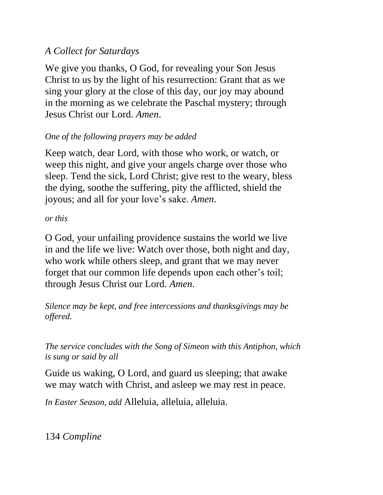## *A Collect for Saturdays*

We give you thanks, O God, for revealing your Son Jesus Christ to us by the light of his resurrection: Grant that as we sing your glory at the close of this day, our joy may abound in the morning as we celebrate the Paschal mystery; through Jesus Christ our Lord. *Amen*.

## *One of the following prayers may be added*

Keep watch, dear Lord, with those who work, or watch, or weep this night, and give your angels charge over those who sleep. Tend the sick, Lord Christ; give rest to the weary, bless the dying, soothe the suffering, pity the afflicted, shield the joyous; and all for your love's sake. *Amen*.

#### *or this*

O God, your unfailing providence sustains the world we live in and the life we live: Watch over those, both night and day, who work while others sleep, and grant that we may never forget that our common life depends upon each other's toil; through Jesus Christ our Lord. *Amen*.

*Silence may be kept, and free intercessions and thanksgivings may be offered.*

*The service concludes with the Song of Simeon with this Antiphon, which is sung or said by all*

Guide us waking, O Lord, and guard us sleeping; that awake we may watch with Christ, and asleep we may rest in peace.

*In Easter Season, add* Alleluia, alleluia, alleluia.